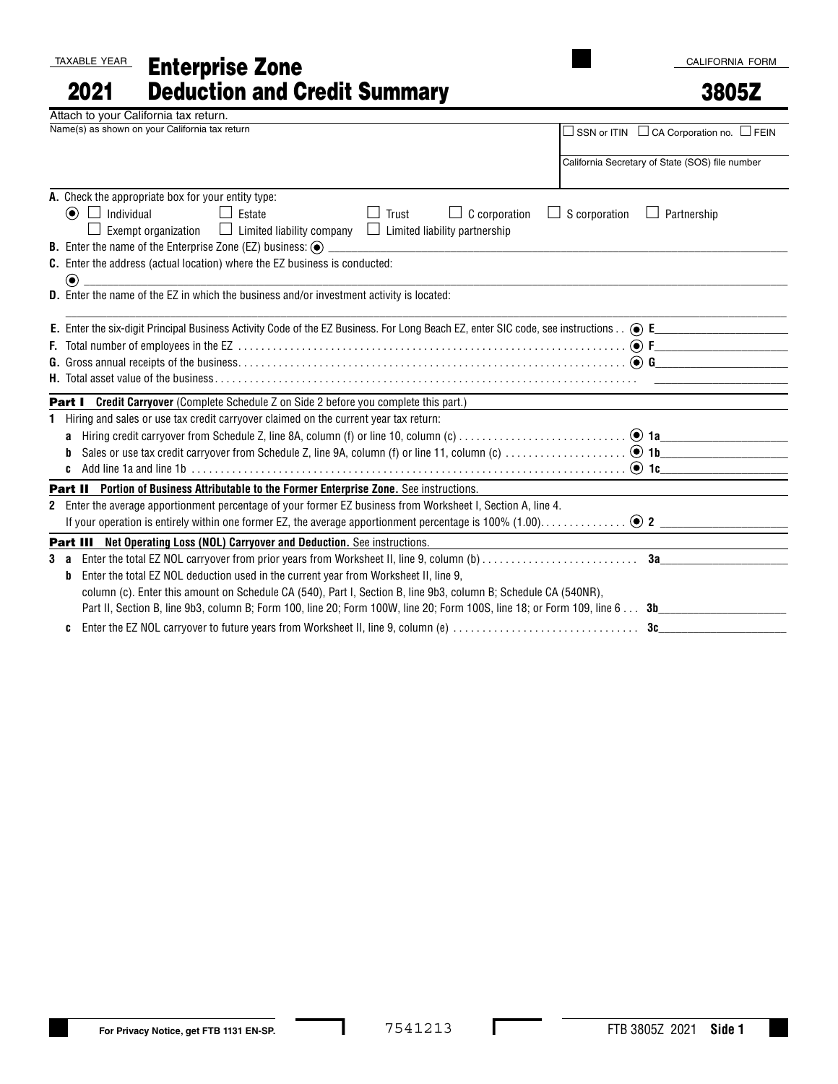TAXABLE YEAR

## Enterprise Zone Deduction and Credit Summary 2021

## 3805Z

|              | Attach to your California tax return.                                                                                                                                        |
|--------------|------------------------------------------------------------------------------------------------------------------------------------------------------------------------------|
|              | Name(s) as shown on your California tax return<br>$\Box$ SSN or ITIN $\Box$ CA Corporation no. $\Box$ FEIN                                                                   |
|              |                                                                                                                                                                              |
|              | California Secretary of State (SOS) file number                                                                                                                              |
|              | A. Check the appropriate box for your entity type:                                                                                                                           |
|              | $\odot$ $\Box$ Individual<br>$\Box$<br>Estate<br>$\Box$ C corporation<br>$\Box$ S corporation<br>Trust<br>$\Box$ Partnership                                                 |
|              | $\Box$ Limited liability company<br><b>Exempt organization</b><br>$\Box$ Limited liability partnership                                                                       |
|              | <b>B.</b> Enter the name of the Enterprise Zone (EZ) business: $\odot$                                                                                                       |
|              | C. Enter the address (actual location) where the EZ business is conducted:                                                                                                   |
|              | $\bigcirc$                                                                                                                                                                   |
|              | <b>D.</b> Enter the name of the EZ in which the business and/or investment activity is located:                                                                              |
|              |                                                                                                                                                                              |
|              |                                                                                                                                                                              |
|              |                                                                                                                                                                              |
|              |                                                                                                                                                                              |
|              | <b>Part I</b> Credit Carryover (Complete Schedule Z on Side 2 before you complete this part.)                                                                                |
| 1            | Hiring and sales or use tax credit carryover claimed on the current year tax return:                                                                                         |
|              | <b>a</b> Hiring credit carryover from Schedule Z, line 8A, column (f) or line 10, column (c) $\ldots$ $\ldots$ $\ldots$ $\ldots$ $\ldots$ $\ldots$ $\ldots$ <b>1a</b>        |
|              |                                                                                                                                                                              |
|              | Add line 1a and line 1b $\ldots$ $\ldots$ $\ldots$ $\ldots$ $\ldots$ $\ldots$ $\ldots$ $\ldots$ $\ldots$ $\ldots$ $\ldots$ $\ldots$ $\ldots$ $\ldots$ $\ldots$ $\ldots$<br>c |
|              | Part II Portion of Business Attributable to the Former Enterprise Zone. See instructions.                                                                                    |
| $\mathbf{2}$ | Enter the average apportionment percentage of your former EZ business from Worksheet I, Section A, line 4.                                                                   |
|              |                                                                                                                                                                              |
|              | Part III Net Operating Loss (NOL) Carryover and Deduction. See instructions.                                                                                                 |
| 3 а          |                                                                                                                                                                              |
|              | Enter the total EZ NOL deduction used in the current year from Worksheet II, line 9,<br>b                                                                                    |
|              | column (c). Enter this amount on Schedule CA (540), Part I, Section B, line 9b3, column B; Schedule CA (540NR),                                                              |
|              | Part II, Section B, line 9b3, column B; Form 100, line 20; Form 100W, line 20; Form 100S, line 18; or Form 109, line 6<br>3b                                                 |
|              | Enter the EZ NOL carryover to future years from Worksheet II, line 9, column (e)<br>3c<br>c                                                                                  |